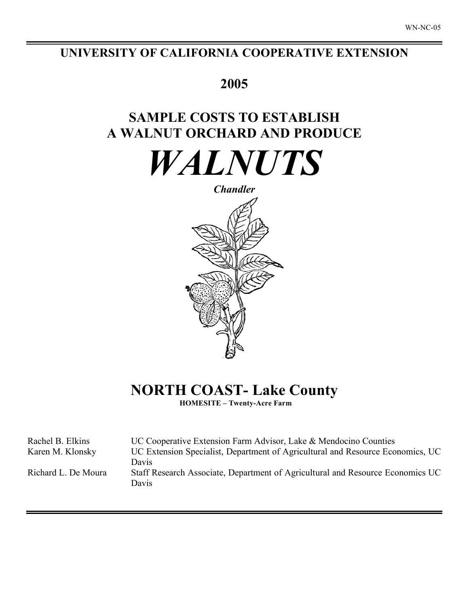## **UNIVERSITY OF CALIFORNIA COOPERATIVE EXTENSION**

# **2005**

# **SAMPLE COSTS TO ESTABLISH A WALNUT ORCHARD AND PRODUCE**

*WALNUTS*



# **NORTH COAST- Lake County**

**HOMESITE – Twenty-Acre Farm**

| Rachel B. Elkins    | UC Cooperative Extension Farm Advisor, Lake & Mendocino Counties                        |
|---------------------|-----------------------------------------------------------------------------------------|
| Karen M. Klonsky    | UC Extension Specialist, Department of Agricultural and Resource Economics, UC          |
|                     | Davis                                                                                   |
| Richard L. De Moura | Staff Research Associate, Department of Agricultural and Resource Economics UC<br>Davis |
|                     |                                                                                         |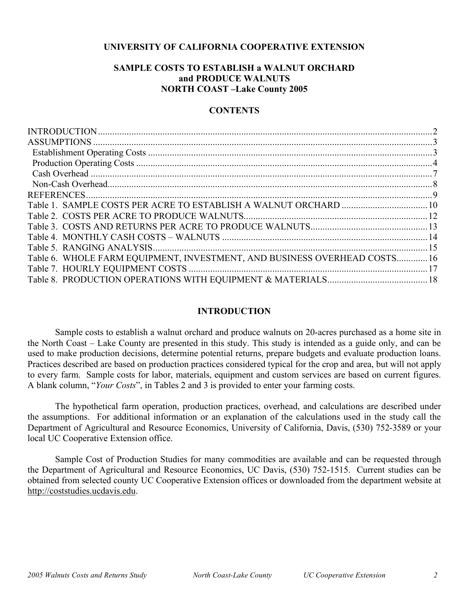### **UNIVERSITY OF CALIFORNIA COOPERATIVE EXTENSION**

### **SAMPLE COSTS TO ESTABLISH a WALNUT ORCHARD and PRODUCE WALNUTS NORTH COAST –Lake County 2005**

### **CONTENTS**

| Table 6. WHOLE FARM EQUIPMENT, INVESTMENT, AND BUSINESS OVERHEAD COSTS 16 |  |
|---------------------------------------------------------------------------|--|
|                                                                           |  |
|                                                                           |  |
|                                                                           |  |

### **INTRODUCTION**

Sample costs to establish a walnut orchard and produce walnuts on 20-acres purchased as a home site in the North Coast – Lake County are presented in this study. This study is intended as a guide only, and can be used to make production decisions, determine potential returns, prepare budgets and evaluate production loans. Practices described are based on production practices considered typical for the crop and area, but will not apply to every farm. Sample costs for labor, materials, equipment and custom services are based on current figures. A blank column, "*Your Costs*", in Tables 2 and 3 is provided to enter your farming costs.

The hypothetical farm operation, production practices, overhead, and calculations are described under the assumptions. For additional information or an explanation of the calculations used in the study call the Department of Agricultural and Resource Economics, University of California, Davis, (530) 752-3589 or your local UC Cooperative Extension office.

Sample Cost of Production Studies for many commodities are available and can be requested through the Department of Agricultural and Resource Economics, UC Davis, (530) 752-1515. Current studies can be obtained from selected county UC Cooperative Extension offices or downloaded from the department website at http://coststudies.ucdavis.edu.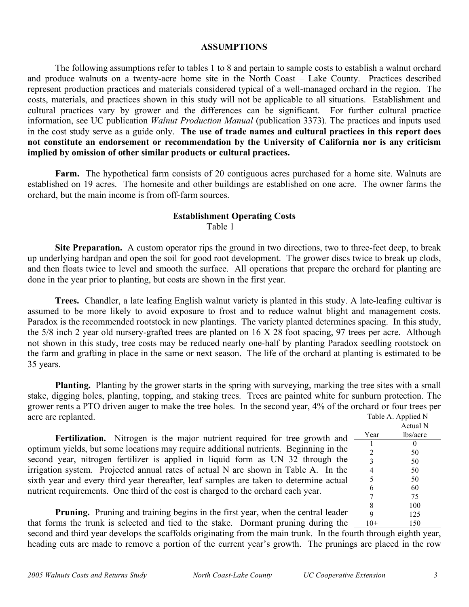### **ASSUMPTIONS**

The following assumptions refer to tables 1 to 8 and pertain to sample costs to establish a walnut orchard and produce walnuts on a twenty-acre home site in the North Coast – Lake County. Practices described represent production practices and materials considered typical of a well-managed orchard in the region. The costs, materials, and practices shown in this study will not be applicable to all situations. Establishment and cultural practices vary by grower and the differences can be significant. For further cultural practice information, see UC publication *Walnut Production Manual* (publication 3373)*.* The practices and inputs used in the cost study serve as a guide only. **The use of trade names and cultural practices in this report does not constitute an endorsement or recommendation by the University of California nor is any criticism implied by omission of other similar products or cultural practices.**

Farm. The hypothetical farm consists of 20 contiguous acres purchased for a home site. Walnuts are established on 19 acres. The homesite and other buildings are established on one acre. The owner farms the orchard, but the main income is from off-farm sources.

### **Establishment Operating Costs** Table 1

**Site Preparation.** A custom operator rips the ground in two directions, two to three-feet deep, to break up underlying hardpan and open the soil for good root development. The grower discs twice to break up clods, and then floats twice to level and smooth the surface. All operations that prepare the orchard for planting are done in the year prior to planting, but costs are shown in the first year.

**Trees.** Chandler, a late leafing English walnut variety is planted in this study. A late-leafing cultivar is assumed to be more likely to avoid exposure to frost and to reduce walnut blight and management costs. Paradox is the recommended rootstock in new plantings. The variety planted determines spacing. In this study, the 5/8 inch 2 year old nursery-grafted trees are planted on 16 X 28 foot spacing, 97 trees per acre. Although not shown in this study, tree costs may be reduced nearly one-half by planting Paradox seedling rootstock on the farm and grafting in place in the same or next season. The life of the orchard at planting is estimated to be 35 years.

**Planting.** Planting by the grower starts in the spring with surveying, marking the tree sites with a small stake, digging holes, planting, topping, and staking trees. Trees are painted white for sunburn protection. The grower rents a PTO driven auger to make the tree holes. In the second year, 4% of the orchard or four trees per acre are replanted. Table A. Applied N

**Fertilization.** Nitrogen is the major nutrient required for tree growth and optimum yields, but some locations may require additional nutrients. Beginning in the second year, nitrogen fertilizer is applied in liquid form as UN 32 through the irrigation system. Projected annual rates of actual N are shown in Table A. In the sixth year and every third year thereafter, leaf samples are taken to determine actual nutrient requirements. One third of the cost is charged to the orchard each year.

|                    | л        |  |  |  |  |  |
|--------------------|----------|--|--|--|--|--|
| Table A. Applied N |          |  |  |  |  |  |
|                    | Actual N |  |  |  |  |  |
| Year               | lbs/acre |  |  |  |  |  |
| 1                  | 0        |  |  |  |  |  |
| 2                  | 50       |  |  |  |  |  |
| 3                  | 50       |  |  |  |  |  |
| $\overline{4}$     | 50       |  |  |  |  |  |
| 5                  | 50       |  |  |  |  |  |
| 6                  | 60       |  |  |  |  |  |
| 7                  | 75       |  |  |  |  |  |
| 8                  | 100      |  |  |  |  |  |
| 9                  | 125      |  |  |  |  |  |
| 10                 | 150      |  |  |  |  |  |

**Pruning.** Pruning and training begins in the first year, when the central leader that forms the trunk is selected and tied to the stake. Dormant pruning during the

second and third year develops the scaffolds originating from the main trunk. In the fourth through eighth year, heading cuts are made to remove a portion of the current year's growth. The prunings are placed in the row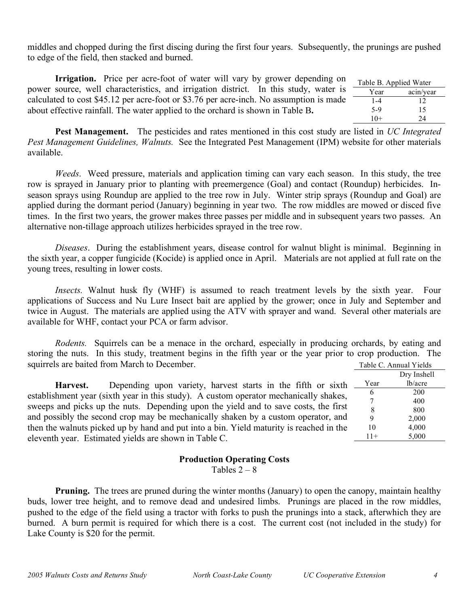middles and chopped during the first discing during the first four years. Subsequently, the prunings are pushed to edge of the field, then stacked and burned.

**Irrigation.** Price per acre-foot of water will vary by grower depending on power source, well characteristics, and irrigation district. In this study, water is calculated to cost \$45.12 per acre-foot or \$3.76 per acre-inch. No assumption is made about effective rainfall. The water applied to the orchard is shown in Table B**.**

| Table B. Applied Water |           |
|------------------------|-----------|
| Year                   | acin/year |
| 1-4                    | 12        |
| $5-9$                  | 15        |
| $10+$                  | 24        |

**Pest Management.** The pesticides and rates mentioned in this cost study are listed in *UC Integrated Pest Management Guidelines, Walnuts.* See the Integrated Pest Management (IPM) website for other materials available.

*Weeds*. Weed pressure, materials and application timing can vary each season. In this study, the tree row is sprayed in January prior to planting with preemergence (Goal) and contact (Roundup) herbicides. Inseason sprays using Roundup are applied to the tree row in July. Winter strip sprays (Roundup and Goal) are applied during the dormant period (January) beginning in year two. The row middles are mowed or disced five times. In the first two years, the grower makes three passes per middle and in subsequent years two passes. An alternative non-tillage approach utilizes herbicides sprayed in the tree row.

*Diseases*. During the establishment years, disease control for walnut blight is minimal. Beginning in the sixth year, a copper fungicide (Kocide) is applied once in April. Materials are not applied at full rate on the young trees, resulting in lower costs.

*Insects.* Walnut husk fly (WHF) is assumed to reach treatment levels by the sixth year. Four applications of Success and Nu Lure Insect bait are applied by the grower; once in July and September and twice in August. The materials are applied using the ATV with sprayer and wand. Several other materials are available for WHF, contact your PCA or farm advisor.

*Rodents.* Squirrels can be a menace in the orchard, especially in producing orchards, by eating and storing the nuts. In this study, treatment begins in the fifth year or the year prior to crop production. The squirrels are baited from March to December.  $Table C. An$ 

| squirrers are banculation ividient to December.                                         |       | Table C. Annual Y leigs |  |
|-----------------------------------------------------------------------------------------|-------|-------------------------|--|
|                                                                                         |       | Dry Inshell             |  |
| Depending upon variety, harvest starts in the fifth or sixth<br>Harvest.                | Year  | lb/acre                 |  |
| establishment year (sixth year in this study). A custom operator mechanically shakes,   | O     | <b>200</b>              |  |
|                                                                                         |       | 400                     |  |
| sweeps and picks up the nuts. Depending upon the yield and to save costs, the first     | 8     | 800                     |  |
| and possibly the second crop may be mechanically shaken by a custom operator, and       |       | 2,000                   |  |
| then the walnuts picked up by hand and put into a bin. Yield maturity is reached in the | 10    | 4,000                   |  |
| eleventh year. Estimated yields are shown in Table C.                                   | $11+$ | 5,000                   |  |
|                                                                                         |       |                         |  |

### **Production Operating Costs**

Tables  $2 - 8$ 

**Pruning.** The trees are pruned during the winter months (January) to open the canopy, maintain healthy buds, lower tree height, and to remove dead and undesired limbs. Prunings are placed in the row middles, pushed to the edge of the field using a tractor with forks to push the prunings into a stack, afterwhich they are burned. A burn permit is required for which there is a cost. The current cost (not included in the study) for Lake County is \$20 for the permit.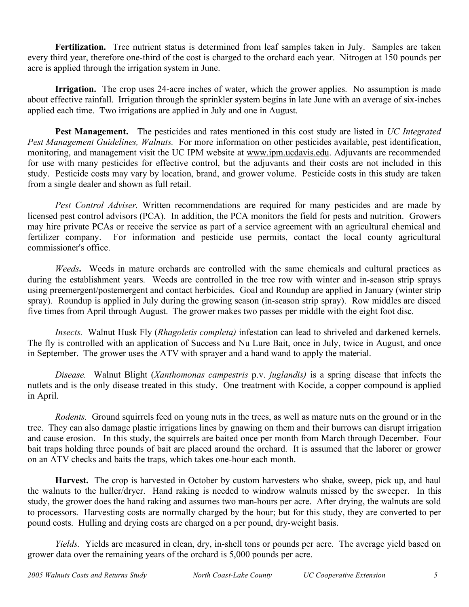**Fertilization.** Tree nutrient status is determined from leaf samples taken in July. Samples are taken every third year, therefore one-third of the cost is charged to the orchard each year. Nitrogen at 150 pounds per acre is applied through the irrigation system in June.

**Irrigation.** The crop uses 24-acre inches of water, which the grower applies. No assumption is made about effective rainfall. Irrigation through the sprinkler system begins in late June with an average of six-inches applied each time. Two irrigations are applied in July and one in August.

**Pest Management.** The pesticides and rates mentioned in this cost study are listed in *UC Integrated Pest Management Guidelines, Walnuts.* For more information on other pesticides available, pest identification, monitoring, and management visit the UC IPM website at www.ipm.ucdavis.edu. Adjuvants are recommended for use with many pesticides for effective control, but the adjuvants and their costs are not included in this study. Pesticide costs may vary by location, brand, and grower volume. Pesticide costs in this study are taken from a single dealer and shown as full retail.

*Pest Control Adviser.* Written recommendations are required for many pesticides and are made by licensed pest control advisors (PCA). In addition, the PCA monitors the field for pests and nutrition. Growers may hire private PCAs or receive the service as part of a service agreement with an agricultural chemical and fertilizer company. For information and pesticide use permits, contact the local county agricultural commissioner's office.

*Weeds***.** Weeds in mature orchards are controlled with the same chemicals and cultural practices as during the establishment years. Weeds are controlled in the tree row with winter and in-season strip sprays using preemergent/postemergent and contact herbicides. Goal and Roundup are applied in January (winter strip spray). Roundup is applied in July during the growing season (in-season strip spray). Row middles are disced five times from April through August. The grower makes two passes per middle with the eight foot disc.

*Insects.* Walnut Husk Fly (*Rhagoletis completa)* infestation can lead to shriveled and darkened kernels. The fly is controlled with an application of Success and Nu Lure Bait, once in July, twice in August, and once in September. The grower uses the ATV with sprayer and a hand wand to apply the material.

*Disease.* Walnut Blight (*Xanthomonas campestris* p.v. *juglandis)* is a spring disease that infects the nutlets and is the only disease treated in this study. One treatment with Kocide, a copper compound is applied in April.

*Rodents.* Ground squirrels feed on young nuts in the trees, as well as mature nuts on the ground or in the tree. They can also damage plastic irrigations lines by gnawing on them and their burrows can disrupt irrigation and cause erosion. In this study, the squirrels are baited once per month from March through December. Four bait traps holding three pounds of bait are placed around the orchard. It is assumed that the laborer or grower on an ATV checks and baits the traps, which takes one-hour each month.

**Harvest.** The crop is harvested in October by custom harvesters who shake, sweep, pick up, and haul the walnuts to the huller/dryer. Hand raking is needed to windrow walnuts missed by the sweeper. In this study, the grower does the hand raking and assumes two man-hours per acre. After drying, the walnuts are sold to processors. Harvesting costs are normally charged by the hour; but for this study, they are converted to per pound costs. Hulling and drying costs are charged on a per pound, dry-weight basis.

*Yields.* Yields are measured in clean, dry, in-shell tons or pounds per acre. The average yield based on grower data over the remaining years of the orchard is 5,000 pounds per acre.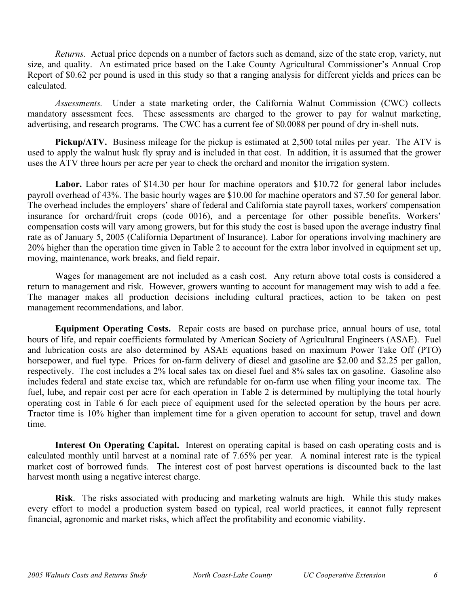*Returns.* Actual price depends on a number of factors such as demand, size of the state crop, variety, nut size, and quality. An estimated price based on the Lake County Agricultural Commissioner's Annual Crop Report of \$0.62 per pound is used in this study so that a ranging analysis for different yields and prices can be calculated.

*Assessments.* Under a state marketing order, the California Walnut Commission (CWC) collects mandatory assessment fees. These assessments are charged to the grower to pay for walnut marketing, advertising, and research programs. The CWC has a current fee of \$0.0088 per pound of dry in-shell nuts.

**Pickup/ATV.** Business mileage for the pickup is estimated at 2,500 total miles per year. The ATV is used to apply the walnut husk fly spray and is included in that cost. In addition, it is assumed that the grower uses the ATV three hours per acre per year to check the orchard and monitor the irrigation system.

Labor. Labor rates of \$14.30 per hour for machine operators and \$10.72 for general labor includes payroll overhead of 43%. The basic hourly wages are \$10.00 for machine operators and \$7.50 for general labor. The overhead includes the employers' share of federal and California state payroll taxes, workers' compensation insurance for orchard/fruit crops (code 0016), and a percentage for other possible benefits. Workers' compensation costs will vary among growers, but for this study the cost is based upon the average industry final rate as of January 5, 2005 (California Department of Insurance). Labor for operations involving machinery are 20% higher than the operation time given in Table 2 to account for the extra labor involved in equipment set up, moving, maintenance, work breaks, and field repair.

Wages for management are not included as a cash cost. Any return above total costs is considered a return to management and risk. However, growers wanting to account for management may wish to add a fee. The manager makes all production decisions including cultural practices, action to be taken on pest management recommendations, and labor.

**Equipment Operating Costs.** Repair costs are based on purchase price, annual hours of use, total hours of life, and repair coefficients formulated by American Society of Agricultural Engineers (ASAE). Fuel and lubrication costs are also determined by ASAE equations based on maximum Power Take Off (PTO) horsepower, and fuel type. Prices for on-farm delivery of diesel and gasoline are \$2.00 and \$2.25 per gallon, respectively. The cost includes a 2% local sales tax on diesel fuel and 8% sales tax on gasoline. Gasoline also includes federal and state excise tax, which are refundable for on-farm use when filing your income tax. The fuel, lube, and repair cost per acre for each operation in Table 2 is determined by multiplying the total hourly operating cost in Table 6 for each piece of equipment used for the selected operation by the hours per acre. Tractor time is 10% higher than implement time for a given operation to account for setup, travel and down time.

**Interest On Operating Capital.** Interest on operating capital is based on cash operating costs and is calculated monthly until harvest at a nominal rate of 7.65% per year. A nominal interest rate is the typical market cost of borrowed funds. The interest cost of post harvest operations is discounted back to the last harvest month using a negative interest charge.

**Risk**. The risks associated with producing and marketing walnuts are high. While this study makes every effort to model a production system based on typical, real world practices, it cannot fully represent financial, agronomic and market risks, which affect the profitability and economic viability.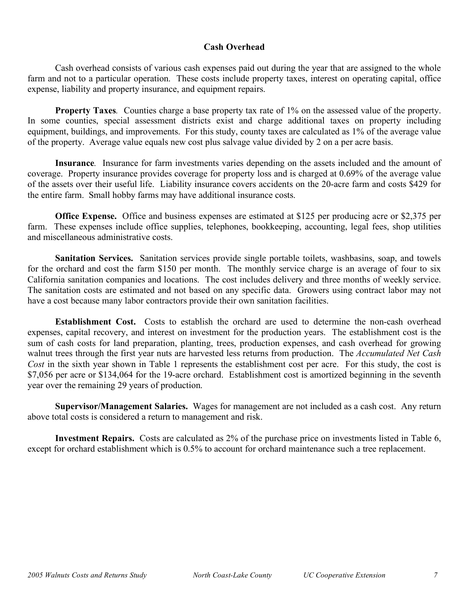### **Cash Overhead**

Cash overhead consists of various cash expenses paid out during the year that are assigned to the whole farm and not to a particular operation. These costs include property taxes, interest on operating capital, office expense, liability and property insurance, and equipment repairs.

**Property Taxes***.* Counties charge a base property tax rate of 1% on the assessed value of the property. In some counties, special assessment districts exist and charge additional taxes on property including equipment, buildings, and improvements. For this study, county taxes are calculated as 1% of the average value of the property. Average value equals new cost plus salvage value divided by 2 on a per acre basis.

**Insurance***.* Insurance for farm investments varies depending on the assets included and the amount of coverage. Property insurance provides coverage for property loss and is charged at 0.69% of the average value of the assets over their useful life. Liability insurance covers accidents on the 20-acre farm and costs \$429 for the entire farm. Small hobby farms may have additional insurance costs.

**Office Expense.** Office and business expenses are estimated at \$125 per producing acre or \$2,375 per farm. These expenses include office supplies, telephones, bookkeeping, accounting, legal fees, shop utilities and miscellaneous administrative costs.

**Sanitation Services.** Sanitation services provide single portable toilets, washbasins, soap, and towels for the orchard and cost the farm \$150 per month. The monthly service charge is an average of four to six California sanitation companies and locations. The cost includes delivery and three months of weekly service. The sanitation costs are estimated and not based on any specific data. Growers using contract labor may not have a cost because many labor contractors provide their own sanitation facilities.

**Establishment Cost.** Costs to establish the orchard are used to determine the non-cash overhead expenses, capital recovery, and interest on investment for the production years. The establishment cost is the sum of cash costs for land preparation, planting, trees, production expenses, and cash overhead for growing walnut trees through the first year nuts are harvested less returns from production. The *Accumulated Net Cash Cost* in the sixth year shown in Table 1 represents the establishment cost per acre. For this study, the cost is \$7,056 per acre or \$134,064 for the 19-acre orchard. Establishment cost is amortized beginning in the seventh year over the remaining 29 years of production.

**Supervisor/Management Salaries.** Wages for management are not included as a cash cost. Any return above total costs is considered a return to management and risk.

**Investment Repairs.** Costs are calculated as 2% of the purchase price on investments listed in Table 6, except for orchard establishment which is 0.5% to account for orchard maintenance such a tree replacement.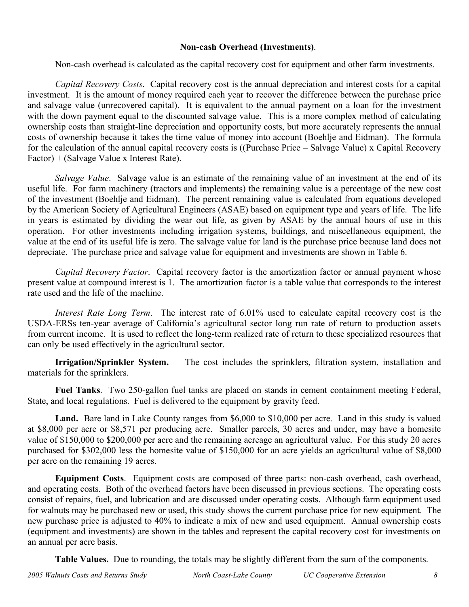### **Non-cash Overhead (Investments)**.

Non-cash overhead is calculated as the capital recovery cost for equipment and other farm investments.

*Capital Recovery Costs*. Capital recovery cost is the annual depreciation and interest costs for a capital investment. It is the amount of money required each year to recover the difference between the purchase price and salvage value (unrecovered capital). It is equivalent to the annual payment on a loan for the investment with the down payment equal to the discounted salvage value. This is a more complex method of calculating ownership costs than straight-line depreciation and opportunity costs, but more accurately represents the annual costs of ownership because it takes the time value of money into account (Boehlje and Eidman). The formula for the calculation of the annual capital recovery costs is ((Purchase Price – Salvage Value) x Capital Recovery Factor) + (Salvage Value x Interest Rate).

*Salvage Value*. Salvage value is an estimate of the remaining value of an investment at the end of its useful life. For farm machinery (tractors and implements) the remaining value is a percentage of the new cost of the investment (Boehlje and Eidman). The percent remaining value is calculated from equations developed by the American Society of Agricultural Engineers (ASAE) based on equipment type and years of life. The life in years is estimated by dividing the wear out life, as given by ASAE by the annual hours of use in this operation. For other investments including irrigation systems, buildings, and miscellaneous equipment, the value at the end of its useful life is zero. The salvage value for land is the purchase price because land does not depreciate. The purchase price and salvage value for equipment and investments are shown in Table 6.

*Capital Recovery Factor*. Capital recovery factor is the amortization factor or annual payment whose present value at compound interest is 1. The amortization factor is a table value that corresponds to the interest rate used and the life of the machine.

*Interest Rate Long Term*. The interest rate of 6.01% used to calculate capital recovery cost is the USDA-ERSs ten-year average of California's agricultural sector long run rate of return to production assets from current income. It is used to reflect the long-term realized rate of return to these specialized resources that can only be used effectively in the agricultural sector.

**Irrigation/Sprinkler System.** The cost includes the sprinklers, filtration system, installation and materials for the sprinklers.

**Fuel Tanks**. Two 250-gallon fuel tanks are placed on stands in cement containment meeting Federal, State, and local regulations. Fuel is delivered to the equipment by gravity feed.

Land. Bare land in Lake County ranges from \$6,000 to \$10,000 per acre. Land in this study is valued at \$8,000 per acre or \$8,571 per producing acre. Smaller parcels, 30 acres and under, may have a homesite value of \$150,000 to \$200,000 per acre and the remaining acreage an agricultural value. For this study 20 acres purchased for \$302,000 less the homesite value of \$150,000 for an acre yields an agricultural value of \$8,000 per acre on the remaining 19 acres.

**Equipment Costs**. Equipment costs are composed of three parts: non-cash overhead, cash overhead, and operating costs. Both of the overhead factors have been discussed in previous sections. The operating costs consist of repairs, fuel, and lubrication and are discussed under operating costs. Although farm equipment used for walnuts may be purchased new or used, this study shows the current purchase price for new equipment. The new purchase price is adjusted to 40% to indicate a mix of new and used equipment. Annual ownership costs (equipment and investments) are shown in the tables and represent the capital recovery cost for investments on an annual per acre basis.

**Table Values.** Due to rounding, the totals may be slightly different from the sum of the components.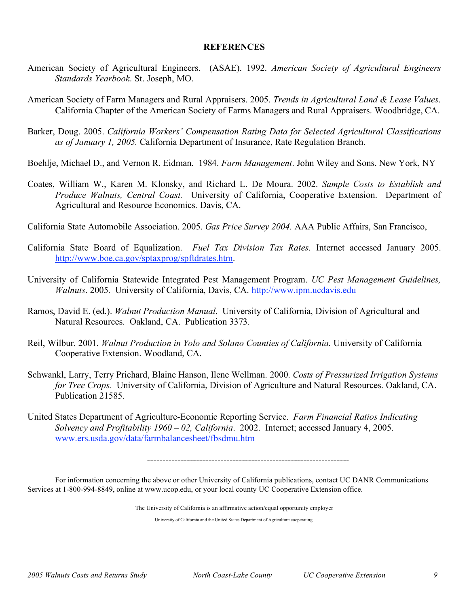### **REFERENCES**

- American Society of Agricultural Engineers. (ASAE). 1992. *American Society of Agricultural Engineers Standards Yearbook*. St. Joseph, MO.
- American Society of Farm Managers and Rural Appraisers. 2005. *Trends in Agricultural Land & Lease Values*. California Chapter of the American Society of Farms Managers and Rural Appraisers. Woodbridge, CA.
- Barker, Doug. 2005. *California Workers' Compensation Rating Data for Selected Agricultural Classifications as of January 1, 2005.* California Department of Insurance, Rate Regulation Branch.

Boehlje, Michael D., and Vernon R. Eidman. 1984. *Farm Management*. John Wiley and Sons. New York, NY

Coates, William W., Karen M. Klonsky, and Richard L. De Moura. 2002. *Sample Costs to Establish and Produce Walnuts, Central Coast.* University of California, Cooperative Extension. Department of Agricultural and Resource Economics. Davis, CA.

California State Automobile Association. 2005. *Gas Price Survey 2004.* AAA Public Affairs, San Francisco,

- California State Board of Equalization. *Fuel Tax Division Tax Rates*. Internet accessed January 2005. http://www.boe.ca.gov/sptaxprog/spftdrates.htm.
- University of California Statewide Integrated Pest Management Program. *UC Pest Management Guidelines, Walnuts*. 2005. University of California, Davis, CA. http://www.ipm.ucdavis.edu
- Ramos, David E. (ed.). *Walnut Production Manual*. University of California, Division of Agricultural and Natural Resources. Oakland, CA. Publication 3373.
- Reil, Wilbur. 2001. *Walnut Production in Yolo and Solano Counties of California.* University of California Cooperative Extension. Woodland, CA.
- Schwankl, Larry, Terry Prichard, Blaine Hanson, Ilene Wellman. 2000. *Costs of Pressurized Irrigation Systems for Tree Crops.* University of California, Division of Agriculture and Natural Resources. Oakland, CA. Publication 21585.
- United States Department of Agriculture-Economic Reporting Service. *Farm Financial Ratios Indicating Solvency and Profitability 1960 – 02, California*. 2002. Internet; accessed January 4, 2005. www.ers.usda.gov/data/farmbalancesheet/fbsdmu.htm

------------------------------------------------------------------

For information concerning the above or other University of California publications, contact UC DANR Communications Services at 1-800-994-8849, online at www.ucop.edu, or your local county UC Cooperative Extension office.

The University of California is an affirmative action/equal opportunity employer

University of California and the United States Department of Agriculture cooperating.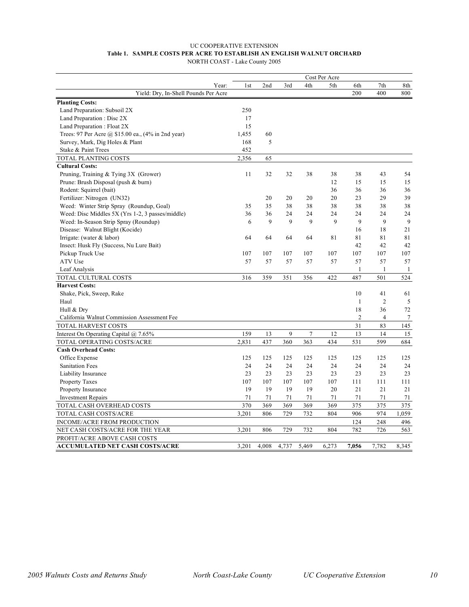#### UC COOPERATIVE EXTENSION **Table 1. SAMPLE COSTS PER ACRE TO ESTABLISH AN ENGLISH WALNUT ORCHARD** NORTH COAST - Lake County 2005

|                                                    | Cost Per Acre   |       |       |        |       |                |                |              |  |
|----------------------------------------------------|-----------------|-------|-------|--------|-------|----------------|----------------|--------------|--|
| Year:                                              | 1 <sub>st</sub> | 2nd   | 3rd   | 4th    | 5th   | 6th            | 7th            | 8th          |  |
| Yield: Dry, In-Shell Pounds Per Acre               |                 |       |       |        |       | 200            | 400            | 800          |  |
| <b>Planting Costs:</b>                             |                 |       |       |        |       |                |                |              |  |
| Land Preparation: Subsoil 2X                       | 250             |       |       |        |       |                |                |              |  |
| Land Preparation: Disc 2X                          | 17              |       |       |        |       |                |                |              |  |
| Land Preparation: Float 2X                         | 15              |       |       |        |       |                |                |              |  |
| Trees: 97 Per Acre @ \$15.00 ea., (4% in 2nd year) | 1,455           | 60    |       |        |       |                |                |              |  |
| Survey, Mark, Dig Holes & Plant                    | 168             | 5     |       |        |       |                |                |              |  |
| Stake & Paint Trees                                | 452             |       |       |        |       |                |                |              |  |
| TOTAL PLANTING COSTS                               | 2,356           | 65    |       |        |       |                |                |              |  |
| <b>Cultural Costs:</b>                             |                 |       |       |        |       |                |                |              |  |
| Pruning, Training & Tying 3X (Grower)              | 11              | 32    | 32    | 38     | 38    | 38             | 43             | 54           |  |
| Prune: Brush Disposal (push & burn)                |                 |       |       |        | 12    | 15             | 15             | 15           |  |
| Rodent: Squirrel (bait)                            |                 |       |       |        | 36    | 36             | 36             | 36           |  |
| Fertilizer: Nitrogen (UN32)                        |                 | 20    | 20    | 20     | 20    | 23             | 29             | 39           |  |
| Weed: Winter Strip Spray (Roundup, Goal)           | 35              | 35    | 38    | 38     | 38    | 38             | 38             | 38           |  |
| Weed: Disc Middles 5X (Yrs 1-2, 3 passes/middle)   | 36              | 36    | 24    | 24     | 24    | 24             | 24             | 24           |  |
| Weed: In-Season Strip Spray (Roundup)              | 6               | 9     | 9     | 9      | 9     | 9              | 9              | 9            |  |
| Disease: Walnut Blight (Kocide)                    |                 |       |       |        |       | 16             | 18             | 21           |  |
| Irrigate: (water $&$ labor)                        | 64              | 64    | 64    | 64     | 81    | 81             | 81             | 81           |  |
| Insect: Husk Fly (Success, Nu Lure Bait)           |                 |       |       |        |       | 42             | 42             | 42           |  |
| Pickup Truck Use                                   | 107             | 107   | 107   | 107    | 107   | 107            | 107            | 107          |  |
| ATV Use                                            | 57              | 57    | 57    | 57     | 57    | 57             | 57             | 57           |  |
| Leaf Analysis                                      |                 |       |       |        |       | 1              | $\mathbf{1}$   | $\mathbf{1}$ |  |
| TOTAL CULTURAL COSTS                               | 316             | 359   | 351   | 356    | 422   | 487            | 501            | 524          |  |
| <b>Harvest Costs:</b>                              |                 |       |       |        |       |                |                |              |  |
| Shake, Pick, Sweep, Rake                           |                 |       |       |        |       | 10             | 41             | 61           |  |
| Haul                                               |                 |       |       |        |       | $\mathbf{1}$   | $\overline{2}$ | 5            |  |
| Hull & Dry                                         |                 |       |       |        |       | 18             | 36             | 72           |  |
| California Walnut Commission Assessment Fee        |                 |       |       |        |       | $\overline{2}$ | $\overline{4}$ | 7            |  |
| TOTAL HARVEST COSTS                                |                 |       |       |        |       | 31             | 83             | 145          |  |
| Interest On Operating Capital $(a)$ 7.65%          | 159             | 13    | 9     | $\tau$ | 12    | 13             | 14             | 15           |  |
| TOTAL OPERATING COSTS/ACRE                         | 2,831           | 437   | 360   | 363    | 434   | 531            | 599            | 684          |  |
| <b>Cash Overhead Costs:</b>                        |                 |       |       |        |       |                |                |              |  |
| Office Expense                                     | 125             | 125   | 125   | 125    | 125   | 125            | 125            | 125          |  |
| <b>Sanitation Fees</b>                             | 24              | 24    | 24    | 24     | 24    | 24             | 24             | 24           |  |
| Liability Insurance                                | 23              | 23    | 23    | 23     | 23    | 23             | 23             | 23           |  |
| Property Taxes                                     | 107             | 107   | 107   | 107    | 107   | 111            | 111            | 111          |  |
| Property Insurance                                 | 19              | 19    | 19    | 19     | 20    | 21             | 21             | 21           |  |
| <b>Investment Repairs</b>                          | 71              | 71    | 71    | 71     | 71    | 71             | 71             | 71           |  |
| TOTAL CASH OVERHEAD COSTS                          | 370             | 369   | 369   | 369    | 369   | 375            | 375            | 375          |  |
| TOTAL CASH COSTS/ACRE                              | 3,201           | 806   | 729   | 732    | 804   | 906            | 974            | 1,059        |  |
| INCOME/ACRE FROM PRODUCTION                        |                 |       |       |        |       | 124            | 248            | 496          |  |
| NET CASH COSTS/ACRE FOR THE YEAR                   | 3,201           | 806   | 729   | 732    | 804   | 782            | 726            | 563          |  |
| PROFIT/ACRE ABOVE CASH COSTS                       |                 |       |       |        |       |                |                |              |  |
| <b>ACCUMULATED NET CASH COSTS/ACRE</b>             | 3,201           | 4,008 | 4,737 | 5,469  | 6,273 | 7,056          | 7,782          | 8,345        |  |

*2005 Walnuts Costs and Returns Study North Coast-Lake County UC Cooperative Extension 10*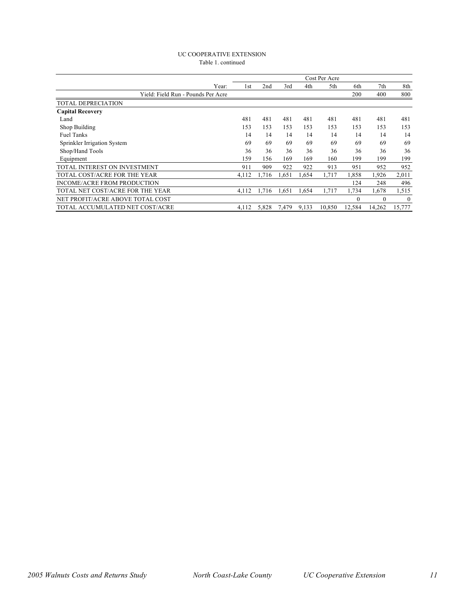#### UC COOPERATIVE EXTENSION Table 1. continued

|                                    | Cost Per Acre |       |       |       |        |          |          |          |
|------------------------------------|---------------|-------|-------|-------|--------|----------|----------|----------|
| Year:                              | 1st           | 2nd   | 3rd   | 4th   | 5th    | 6th      | 7th      | 8th      |
| Yield: Field Run - Pounds Per Acre |               |       |       |       |        | 200      | 400      | 800      |
| TOTAL DEPRECIATION                 |               |       |       |       |        |          |          |          |
| <b>Capital Recovery</b>            |               |       |       |       |        |          |          |          |
| Land                               | 481           | 481   | 481   | 481   | 481    | 481      | 481      | 481      |
| Shop Building                      | 153           | 153   | 153   | 153   | 153    | 153      | 153      | 153      |
| <b>Fuel Tanks</b>                  | 14            | 14    | 14    | 14    | 14     | 14       | 14       | 14       |
| Sprinkler Irrigation System        | 69            | 69    | 69    | 69    | 69     | 69       | 69       | 69       |
| Shop/Hand Tools                    | 36            | 36    | 36    | 36    | 36     | 36       | 36       | 36       |
| Equipment                          | 159           | 156   | 169   | 169   | 160    | 199      | 199      | 199      |
| TOTAL INTEREST ON INVESTMENT       | 911           | 909   | 922   | 922   | 913    | 951      | 952      | 952      |
| TOTAL COST/ACRE FOR THE YEAR       | 4.112         | 1,716 | 1,651 | 1,654 | 1.717  | 1,858    | 1,926    | 2,011    |
| INCOME/ACRE FROM PRODUCTION        |               |       |       |       |        | 124      | 248      | 496      |
| TOTAL NET COST/ACRE FOR THE YEAR   | 4,112         | 1,716 | 1,651 | 1,654 | 1,717  | 1,734    | 1.678    | 1,515    |
| NET PROFIT/ACRE ABOVE TOTAL COST   |               |       |       |       |        | $\Omega$ | $\Omega$ | $\theta$ |
| TOTAL ACCUMULATED NET COST/ACRE    | 4,112         | 5,828 | 7,479 | 9,133 | 10,850 | 12,584   | 14,262   | 15,777   |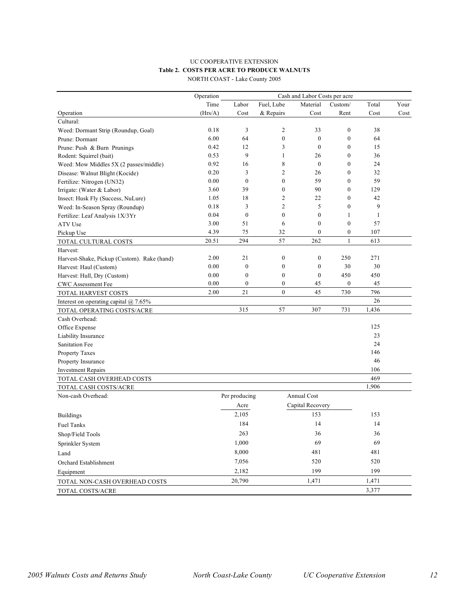### UC COOPERATIVE EXTENSION **Table 2. COSTS PER ACRE TO PRODUCE WALNUTS**

|                                             | Operation |                  |                  | Cash and Labor Costs per acre |                  |              |      |
|---------------------------------------------|-----------|------------------|------------------|-------------------------------|------------------|--------------|------|
|                                             | Time      | Labor            | Fuel, Lube       | Material                      | Custom/          | Total        | Your |
| Operation                                   | (Hrs/A)   | Cost             | & Repairs        | Cost                          | Rent             | Cost         | Cost |
| Cultural:                                   |           |                  |                  |                               |                  |              |      |
| Weed: Dormant Strip (Roundup, Goal)         | 0.18      | 3                | 2                | 33                            | $\boldsymbol{0}$ | 38           |      |
| Prune: Dormant                              | 6.00      | 64               | $\mathbf{0}$     | $\mathbf{0}$                  | $\boldsymbol{0}$ | 64           |      |
| Prune: Push & Burn Prunings                 | 0.42      | 12               | 3                | $\boldsymbol{0}$              | $\boldsymbol{0}$ | 15           |      |
| Rodent: Squirrel (bait)                     | 0.53      | 9                | $\mathbf{1}$     | 26                            | $\boldsymbol{0}$ | 36           |      |
| Weed: Mow Middles 5X (2 passes/middle)      | 0.92      | 16               | 8                | $\boldsymbol{0}$              | $\mathbf{0}$     | 24           |      |
| Disease: Walnut Blight (Kocide)             | 0.20      | 3                | 2                | 26                            | 0                | 32           |      |
| Fertilize: Nitrogen (UN32)                  | 0.00      | $\boldsymbol{0}$ | $\mathbf{0}$     | 59                            | $\mathbf{0}$     | 59           |      |
| Irrigate: (Water & Labor)                   | 3.60      | 39               | $\mathbf{0}$     | 90                            | $\mathbf{0}$     | 129          |      |
| Insect: Husk Fly (Success, NuLure)          | 1.05      | 18               | 2                | 22                            | $\boldsymbol{0}$ | 42           |      |
| Weed: In-Season Spray (Roundup)             | 0.18      | 3                | $\overline{c}$   | 5                             | $\boldsymbol{0}$ | 9            |      |
| Fertilize: Leaf Analysis 1X/3Yr             | 0.04      | $\boldsymbol{0}$ | $\boldsymbol{0}$ | $\boldsymbol{0}$              | 1                | $\mathbf{1}$ |      |
| ATV Use                                     | 3.00      | 51               | 6                | $\mathbf{0}$                  | $\boldsymbol{0}$ | 57           |      |
| Pickup Use                                  | 4.39      | 75               | 32               | $\boldsymbol{0}$              | $\boldsymbol{0}$ | 107          |      |
| TOTAL CULTURAL COSTS                        | 20.51     | 294              | 57               | 262                           | $\mathbf{1}$     | 613          |      |
| Harvest:                                    |           |                  |                  |                               |                  |              |      |
| Harvest-Shake, Pickup (Custom). Rake (hand) | 2.00      | 21               | $\boldsymbol{0}$ | $\boldsymbol{0}$              | 250              | 271          |      |
| Harvest: Haul (Custom)                      | 0.00      | $\boldsymbol{0}$ | $\boldsymbol{0}$ | $\boldsymbol{0}$              | 30               | 30           |      |
| Harvest: Hull, Dry (Custom)                 | 0.00      | $\boldsymbol{0}$ | $\boldsymbol{0}$ | $\boldsymbol{0}$              | 450              | 450          |      |
| <b>CWC</b> Assessment Fee                   | 0.00      | $\boldsymbol{0}$ | $\mathbf{0}$     | 45                            | $\boldsymbol{0}$ | 45           |      |
| TOTAL HARVEST COSTS                         | 2.00      | 21               | $\mathbf{0}$     | 45                            | 730              | 796          |      |
| Interest on operating capital $@$ 7.65%     |           |                  |                  |                               |                  | 26           |      |
| TOTAL OPERATING COSTS/ACRE                  |           | 315              | 57               | 307                           | 731              | 1,436        |      |
| Cash Overhead:                              |           |                  |                  |                               |                  |              |      |
| Office Expense                              |           |                  |                  |                               |                  | 125          |      |
| Liability Insurance                         |           |                  |                  |                               |                  | 23           |      |
| <b>Sanitation Fee</b>                       |           |                  |                  |                               |                  | 24           |      |
| Property Taxes                              |           |                  |                  |                               |                  | 146          |      |
| Property Insurance                          |           |                  |                  |                               |                  | 46           |      |
| <b>Investment Repairs</b>                   |           |                  |                  |                               |                  | 106          |      |
| TOTAL CASH OVERHEAD COSTS                   |           |                  |                  |                               |                  | 469          |      |
| TOTAL CASH COSTS/ACRE                       |           |                  |                  |                               |                  | 1,906        |      |
| Non-cash Overhead:                          |           | Per producing    |                  | Annual Cost                   |                  |              |      |
|                                             |           | Acre             |                  | Capital Recovery              |                  |              |      |
| <b>Buildings</b>                            |           | 2,105            |                  | 153                           |                  | 153          |      |
| <b>Fuel Tanks</b>                           |           | 184              |                  | 14                            |                  | 14           |      |
| Shop/Field Tools                            |           | 263              |                  | 36                            |                  | 36           |      |
| Sprinkler System                            |           | 1,000            |                  | 69                            |                  | 69           |      |
| Land                                        |           | 8,000            |                  | 481                           |                  | 481          |      |
| Orchard Establishment                       |           | 7,056            |                  | 520                           |                  | 520          |      |
|                                             |           | 2,182            |                  | 199                           |                  | 199          |      |
| Equipment                                   |           | 20,790           |                  | 1,471                         |                  | 1,471        |      |
| TOTAL NON-CASH OVERHEAD COSTS               |           |                  |                  |                               |                  |              |      |
| TOTAL COSTS/ACRE                            |           |                  |                  |                               |                  | 3,377        |      |

NORTH COAST - Lake County 2005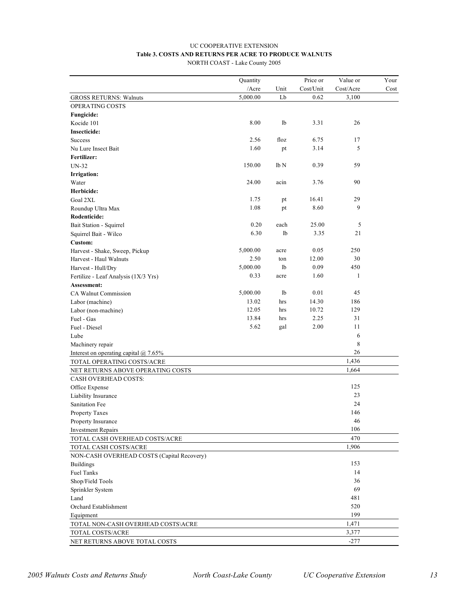### UC COOPERATIVE EXTENSION **Table 3. COSTS AND RETURNS PER ACRE TO PRODUCE WALNUTS**

NORTH COAST - Lake County 2005

|                                            | Quantity |      | Price or  | Value or  | Your |
|--------------------------------------------|----------|------|-----------|-----------|------|
|                                            | /Acre    | Unit | Cost/Unit | Cost/Acre | Cost |
| <b>GROSS RETURNS: Walnuts</b>              | 5,000.00 | Lb   | 0.62      | 3,100     |      |
| OPERATING COSTS                            |          |      |           |           |      |
| Fungicide:                                 |          |      |           |           |      |
| Kocide 101                                 | 8.00     | lb   | 3.31      | 26        |      |
| <b>Insecticide:</b>                        |          |      |           |           |      |
| <b>Success</b>                             | 2.56     | floz | 6.75      | 17        |      |
| Nu Lure Insect Bait                        | 1.60     | pt   | 3.14      | 5         |      |
| Fertilizer:                                |          |      |           |           |      |
| <b>UN-32</b>                               | 150.00   | lb N | 0.39      | 59        |      |
| Irrigation:                                |          |      |           |           |      |
| Water                                      | 24.00    | acin | 3.76      | 90        |      |
| Herbicide:                                 |          |      |           |           |      |
| Goal 2XL                                   | 1.75     | pt   | 16.41     | 29        |      |
| Roundup Ultra Max                          | 1.08     | pt   | 8.60      | 9         |      |
| Rodenticide:                               |          |      |           |           |      |
| Bait Station - Squirrel                    | 0.20     | each | 25.00     | 5         |      |
| Squirrel Bait - Wilco                      | 6.30     | 1b   | 3.35      | 21        |      |
| Custom:                                    |          |      |           |           |      |
| Harvest - Shake, Sweep, Pickup             | 5,000.00 | acre | 0.05      | 250       |      |
| Harvest - Haul Walnuts                     | 2.50     | ton  | 12.00     | 30        |      |
| Harvest - Hull/Dry                         | 5,000.00 | lb   | 0.09      | 450       |      |
| Fertilize - Leaf Analysis (1X/3 Yrs)       | 0.33     | acre | 1.60      | 1         |      |
| Assessment:                                |          |      |           |           |      |
| CA Walnut Commission                       | 5,000.00 | lb   | 0.01      | 45        |      |
| Labor (machine)                            | 13.02    | hrs  | 14.30     | 186       |      |
| Labor (non-machine)                        | 12.05    | hrs  | 10.72     | 129       |      |
| Fuel - Gas                                 | 13.84    | hrs  | 2.25      | 31        |      |
| Fuel - Diesel                              | 5.62     | gal  | 2.00      | 11        |      |
| Lube                                       |          |      |           | 6         |      |
|                                            |          |      |           | 8         |      |
| Machinery repair                           |          |      |           | 26        |      |
| Interest on operating capital $@$ 7.65%    |          |      |           |           |      |
| TOTAL OPERATING COSTS/ACRE                 |          |      |           | 1,436     |      |
| NET RETURNS ABOVE OPERATING COSTS          |          |      |           | 1,664     |      |
| CASH OVERHEAD COSTS:                       |          |      |           |           |      |
| Office Expense                             |          |      |           | 125       |      |
| Liability Insurance                        |          |      |           | 23        |      |
| Sanitation Fee                             |          |      |           | 24        |      |
| Property Taxes                             |          |      |           | 146       |      |
| Property Insurance                         |          |      |           | 46        |      |
| <b>Investment Repairs</b>                  |          |      |           | 106       |      |
| TOTAL CASH OVERHEAD COSTS/ACRE             |          |      |           | 470       |      |
| TOTAL CASH COSTS/ACRE                      |          |      |           | 1,906     |      |
| NON-CASH OVERHEAD COSTS (Capital Recovery) |          |      |           |           |      |
| <b>Buildings</b>                           |          |      |           | 153       |      |
| <b>Fuel Tanks</b>                          |          |      |           | 14        |      |
| Shop/Field Tools                           |          |      |           | 36        |      |
| Sprinkler System                           |          |      |           | 69        |      |
| Land                                       |          |      |           | 481       |      |
| Orchard Establishment                      |          |      |           | 520       |      |
| Equipment                                  |          |      |           | 199       |      |
| TOTAL NON-CASH OVERHEAD COSTS\ACRE         |          |      |           | 1,471     |      |
| TOTAL COSTS/ACRE                           |          |      |           | 3,377     |      |
| NET RETURNS ABOVE TOTAL COSTS              |          |      |           | $-277$    |      |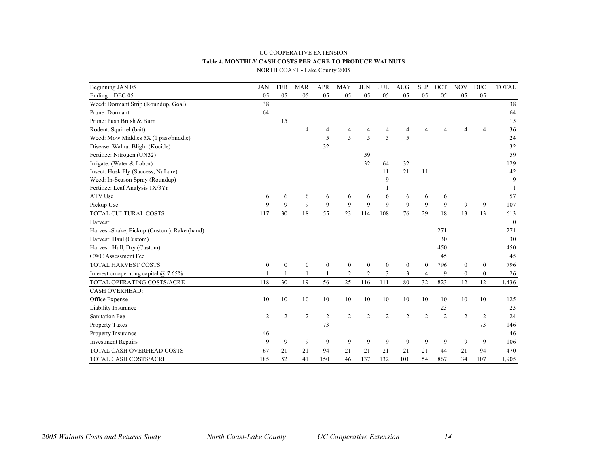#### UC COOPERATIVE EXTENSION **Table 4. MONTHLY CASH COSTS PER ACRE TO PRODUCE WALNUTS** NORTH COAST - Lake County 2005

| Beginning JAN 05                            | <b>JAN</b>     | <b>FEB</b>       | <b>MAR</b>       | <b>APR</b>     | <b>MAY</b>       | <b>JUN</b>     | <b>JUL</b>       | <b>AUG</b>     | <b>SEP</b>     | OCT            | <b>NOV</b>     | DEC            | <b>TOTAL</b> |
|---------------------------------------------|----------------|------------------|------------------|----------------|------------------|----------------|------------------|----------------|----------------|----------------|----------------|----------------|--------------|
| Ending DEC 05                               | 05             | 05               | 05               | 05             | 05               | 05             | 05               | 05             | 05             | 05             | 05             | 05             |              |
| Weed: Dormant Strip (Roundup, Goal)         | 38             |                  |                  |                |                  |                |                  |                |                |                |                |                | 38           |
| Prune: Dormant                              | 64             |                  |                  |                |                  |                |                  |                |                |                |                |                | 64           |
| Prune: Push Brush & Burn                    |                | 15               |                  |                |                  |                |                  |                |                |                |                |                | 15           |
| Rodent: Squirrel (bait)                     |                |                  | 4                | 4              | 4                | 4              | 4                | 4              |                | 4              | 4              | $\overline{4}$ | 36           |
| Weed: Mow Middles 5X (1 pass/middle)        |                |                  |                  | 5              | 5                | 5              | 5                | 5              |                |                |                |                | 24           |
| Disease: Walnut Blight (Kocide)             |                |                  |                  | 32             |                  |                |                  |                |                |                |                |                | 32           |
| Fertilize: Nitrogen (UN32)                  |                |                  |                  |                |                  | 59             |                  |                |                |                |                |                | 59           |
| Irrigate: (Water & Labor)                   |                |                  |                  |                |                  | 32             | 64               | 32             |                |                |                |                | 129          |
| Insect: Husk Fly (Success, NuLure)          |                |                  |                  |                |                  |                | 11               | 21             | 11             |                |                |                | 42           |
| Weed: In-Season Spray (Roundup)             |                |                  |                  |                |                  |                | 9                |                |                |                |                |                | 9            |
| Fertilize: Leaf Analysis 1X/3Yr             |                |                  |                  |                |                  |                |                  |                |                |                |                |                |              |
| ATV Use                                     | 6              | 6                | 6                | 6              | 6                | 6              | 6                | 6              | 6              | 6              |                |                | 57           |
| Pickup Use                                  | 9              | 9                | 9                | 9              | $\mathbf Q$      | 9              | 9                | 9              | 9              | 9              | 9              | 9              | 107          |
| TOTAL CULTURAL COSTS                        | 117            | 30               | 18               | 55             | 23               | 114            | 108              | 76             | 29             | 18             | 13             | 13             | 613          |
| Harvest:                                    |                |                  |                  |                |                  |                |                  |                |                |                |                |                | $\Omega$     |
| Harvest-Shake, Pickup (Custom). Rake (hand) |                |                  |                  |                |                  |                |                  |                |                | 271            |                |                | 271          |
| Harvest: Haul (Custom)                      |                |                  |                  |                |                  |                |                  |                |                | 30             |                |                | 30           |
| Harvest: Hull, Dry (Custom)                 |                |                  |                  |                |                  |                |                  |                |                | 450            |                |                | 450          |
| <b>CWC</b> Assessment Fee                   |                |                  |                  |                |                  |                |                  |                |                | 45             |                |                | 45           |
| <b>TOTAL HARVEST COSTS</b>                  | $\mathbf{0}$   | $\boldsymbol{0}$ | $\boldsymbol{0}$ | $\mathbf{0}$   | $\boldsymbol{0}$ | $\mathbf{0}$   | $\boldsymbol{0}$ | $\mathbf{0}$   | $\mathbf{0}$   | 796            | $\theta$       | $\theta$       | 796          |
| Interest on operating capital $@$ 7.65%     |                | $\mathbf{1}$     |                  | $\mathbf{1}$   | $\overline{2}$   | $\overline{2}$ | 3                | $\overline{3}$ | $\overline{4}$ | 9              | $\theta$       | $\theta$       | 26           |
| TOTAL OPERATING COSTS/ACRE                  | 118            | 30               | 19               | 56             | 25               | 116            | 111              | 80             | 32             | 823            | 12             | 12             | 1,436        |
| <b>CASH OVERHEAD:</b>                       |                |                  |                  |                |                  |                |                  |                |                |                |                |                |              |
| Office Expense                              | 10             | 10               | 10               | 10             | 10               | 10             | 10               | 10             | 10             | 10             | 10             | 10             | 125          |
| Liability Insurance                         |                |                  |                  |                |                  |                |                  |                |                | 23             |                |                | 23           |
| <b>Sanitation Fee</b>                       | $\overline{c}$ | $\overline{2}$   | $\overline{c}$   | $\overline{2}$ | $\overline{c}$   | $\overline{2}$ | $\overline{2}$   | $\overline{2}$ | $\overline{2}$ | $\overline{2}$ | $\overline{2}$ | $\overline{2}$ | 24           |
| Property Taxes                              |                |                  |                  | 73             |                  |                |                  |                |                |                |                | 73             | 146          |
| Property Insurance                          | 46             |                  |                  |                |                  |                |                  |                |                |                |                |                | 46           |
| <b>Investment Repairs</b>                   | 9              | 9                | 9                | 9              | 9                | 9              | 9                | 9              | 9              | 9              | 9              | 9              | 106          |
| <b>TOTAL CASH OVERHEAD COSTS</b>            | 67             | 21               | 21               | 94             | 21               | 21             | 21               | 21             | 21             | 44             | 21             | 94             | 470          |
| TOTAL CASH COSTS/ACRE                       | 185            | 52               | 41               | 150            | 46               | 137            | 132              | 101            | 54             | 867            | 34             | 107            | 1,905        |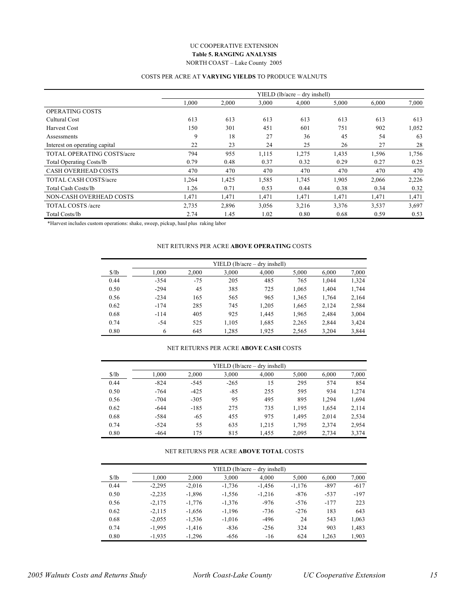#### UC COOPERATIVE EXTENSION **Table 5. RANGING ANALYSIS** NORTH COAST – Lake County 2005

### COSTS PER ACRE AT **VARYING YIELDS** TO PRODUCE WALNUTS

|                                   | YIELD (lb/acre – dry inshell) |       |       |       |       |       |       |  |  |  |
|-----------------------------------|-------------------------------|-------|-------|-------|-------|-------|-------|--|--|--|
|                                   | 1,000                         | 2.000 | 3.000 | 4.000 | 5,000 | 6.000 | 7,000 |  |  |  |
| <b>OPERATING COSTS</b>            |                               |       |       |       |       |       |       |  |  |  |
| Cultural Cost                     | 613                           | 613   | 613   | 613   | 613   | 613   | 613   |  |  |  |
| Harvest Cost                      | 150                           | 301   | 451   | 601   | 751   | 902   | 1,052 |  |  |  |
| Assessments                       | 9                             | 18    | 27    | 36    | 45    | 54    | 63    |  |  |  |
| Interest on operating capital     | 22                            | 23    | 24    | 25    | 26    | 27    | 28    |  |  |  |
| <b>TOTAL OPERATING COSTS/acre</b> | 794                           | 955   | 1,115 | 1,275 | 1,435 | 1,596 | 1,756 |  |  |  |
| <b>Total Operating Costs/lb</b>   | 0.79                          | 0.48  | 0.37  | 0.32  | 0.29  | 0.27  | 0.25  |  |  |  |
| <b>CASH OVERHEAD COSTS</b>        | 470                           | 470   | 470   | 470   | 470   | 470   | 470   |  |  |  |
| <b>TOTAL CASH COSTS/acre</b>      | 1,264                         | 1,425 | 1,585 | 1,745 | 1,905 | 2,066 | 2,226 |  |  |  |
| Total Cash Costs/lb               | 1.26                          | 0.71  | 0.53  | 0.44  | 0.38  | 0.34  | 0.32  |  |  |  |
| NON-CASH OVERHEAD COSTS           | 1,471                         | 1,471 | 1,471 | 1,471 | 1,471 | 1,471 | 1,471 |  |  |  |
| TOTAL COSTS /acre                 | 2,735                         | 2,896 | 3,056 | 3,216 | 3,376 | 3,537 | 3,697 |  |  |  |
| Total Costs/lb                    | 2.74                          | 1.45  | 1.02  | 0.80  | 0.68  | 0.59  | 0.53  |  |  |  |

\*Harvest includes custom operations: shake, sweep, pickup, haul plus raking labor

#### NET RETURNS PER ACRE **ABOVE OPERATING** COSTS

|                     |        |       |       | $YIELD (lb/acre - dry inshell)$ |       |       |       |
|---------------------|--------|-------|-------|---------------------------------|-------|-------|-------|
| $\frac{\sqrt{}}{2}$ | 1.000  | 2,000 | 3,000 | 4,000                           | 5,000 | 6,000 | 7,000 |
| 0.44                | $-354$ | $-75$ | 205   | 485                             | 765   | 1.044 | 1,324 |
| 0.50                | $-294$ | 45    | 385   | 725                             | 1,065 | 1,404 | 1,744 |
| 0.56                | $-234$ | 165   | 565   | 965                             | 1,365 | 1,764 | 2,164 |
| 0.62                | $-174$ | 285   | 745   | 1,205                           | 1,665 | 2,124 | 2,584 |
| 0.68                | $-114$ | 405   | 925   | 1.445                           | 1,965 | 2.484 | 3,004 |
| 0.74                | $-54$  | 525   | 1,105 | 1,685                           | 2,265 | 2.844 | 3,424 |
| 0.80                | 6      | 645   | 1.285 | 1.925                           | 2,565 | 3,204 | 3,844 |

#### NET RETURNS PER ACRE **ABOVE CASH** COSTS

|                     | $YIELD$ (lb/acre – dry inshell) |        |        |       |       |       |       |  |  |  |  |
|---------------------|---------------------------------|--------|--------|-------|-------|-------|-------|--|--|--|--|
| $\frac{\sqrt{}}{2}$ | 1.000                           | 2,000  | 3,000  | 4,000 | 5,000 | 6.000 | 7,000 |  |  |  |  |
| 0.44                | $-824$                          | $-545$ | $-265$ | 15    | 295   | 574   | 854   |  |  |  |  |
| 0.50                | $-764$                          | $-425$ | $-85$  | 255   | 595   | 934   | 1,274 |  |  |  |  |
| 0.56                | $-704$                          | $-305$ | 95     | 495   | 895   | 1.294 | 1,694 |  |  |  |  |
| 0.62                | $-644$                          | $-185$ | 275    | 735   | 1,195 | 1,654 | 2,114 |  |  |  |  |
| 0.68                | $-584$                          | $-65$  | 455    | 975   | 1,495 | 2,014 | 2,534 |  |  |  |  |
| 0.74                | $-524$                          | 55     | 635    | 1,215 | 1,795 | 2,374 | 2,954 |  |  |  |  |
| 0.80                | $-464$                          | 175    | 815    | 1.455 | 2.095 | 2.734 | 3,374 |  |  |  |  |

#### NET RETURNS PER ACRE **ABOVE TOTAL** COSTS

| $YIELD (lb/acre - dry inshell)$ |          |          |          |          |          |        |        |  |  |  |
|---------------------------------|----------|----------|----------|----------|----------|--------|--------|--|--|--|
| S/lb                            | 1.000    | 2,000    | 3,000    | 4,000    | 5,000    | 6,000  | 7,000  |  |  |  |
| 0.44                            | $-2,295$ | $-2,016$ | $-1,736$ | $-1.456$ | $-1,176$ | $-897$ | $-617$ |  |  |  |
| 0.50                            | $-2,235$ | $-1,896$ | $-1,556$ | $-1,216$ | $-876$   | $-537$ | $-197$ |  |  |  |
| 0.56                            | $-2,175$ | $-1,776$ | $-1,376$ | $-976$   | $-576$   | $-177$ | 223    |  |  |  |
| 0.62                            | $-2,115$ | $-1.656$ | $-1.196$ | $-736$   | $-276$   | 183    | 643    |  |  |  |
| 0.68                            | $-2,055$ | $-1,536$ | $-1,016$ | -496     | 24       | 543    | 1,063  |  |  |  |
| 0.74                            | $-1.995$ | $-1.416$ | $-836$   | $-256$   | 324      | 903    | 1,483  |  |  |  |
| 0.80                            | $-1,935$ | $-1,296$ | $-656$   | $-16$    | 624      | 1,263  | 1.903  |  |  |  |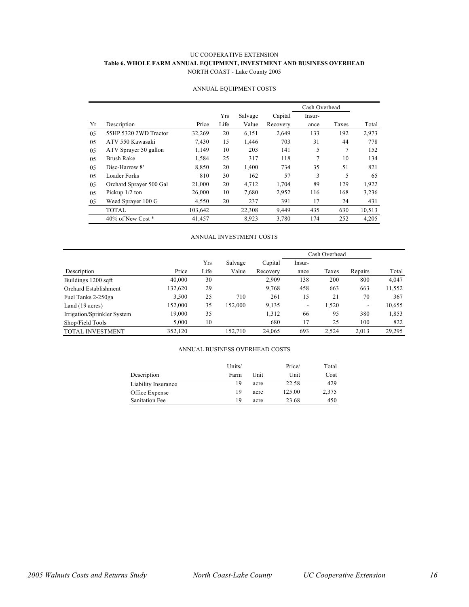#### UC COOPERATIVE EXTENSION **Table 6. WHOLE FARM ANNUAL EQUIPMENT, INVESTMENT AND BUSINESS OVERHEAD** NORTH COAST - Lake County 2005

|    |                         |         |      |         |          | Cash Overhead |       |        |
|----|-------------------------|---------|------|---------|----------|---------------|-------|--------|
|    |                         |         | Yrs  | Salvage | Capital  | Insur-        |       |        |
| Yr | Description             | Price   | Life | Value   | Recovery | ance          | Taxes | Total  |
| 05 | 55HP 5320 2WD Tractor   | 32,269  | 20   | 6,151   | 2,649    | 133           | 192   | 2,973  |
| 05 | ATV 550 Kawasaki        | 7.430   | 15   | 1,446   | 703      | 31            | 44    | 778    |
| 05 | ATV Sprayer 50 gallon   | 1,149   | 10   | 203     | 141      | 5             | 7     | 152    |
| 05 | <b>Brush Rake</b>       | 1,584   | 25   | 317     | 118      | 7             | 10    | 134    |
| 05 | Disc-Harrow 8'          | 8,850   | 20   | 1,400   | 734      | 35            | 51    | 821    |
| 05 | Loader Forks            | 810     | 30   | 162     | 57       | 3             | 5     | 65     |
| 05 | Orchard Sprayer 500 Gal | 21,000  | 20   | 4.712   | 1.704    | 89            | 129   | 1,922  |
| 05 | Pickup $1/2$ ton        | 26,000  | 10   | 7,680   | 2,952    | 116           | 168   | 3,236  |
| 05 | Weed Sprayer 100 G      | 4,550   | 20   | 237     | 391      | 17            | 24    | 431    |
|    | <b>TOTAL</b>            | 103,642 |      | 22,308  | 9.449    | 435           | 630   | 10,513 |
|    | 40% of New Cost *       | 41,457  |      | 8,923   | 3,780    | 174           | 252   | 4,205  |

#### ANNUAL EQUIPMENT COSTS

#### ANNUAL INVESTMENT COSTS

|                             |         |      |         |          | Cash Overhead |       |                          |        |
|-----------------------------|---------|------|---------|----------|---------------|-------|--------------------------|--------|
|                             |         | Yrs  | Salvage | Capital  | Insur-        |       |                          |        |
| Description                 | Price   | Life | Value   | Recovery | ance          | Taxes | Repairs                  | Total  |
| Buildings 1200 sqft         | 40,000  | 30   |         | 2,909    | 138           | 200   | 800                      | 4,047  |
| Orchard Establishment       | 132,620 | 29   |         | 9,768    | 458           | 663   | 663                      | 11,552 |
| Fuel Tanks 2-250ga          | 3,500   | 25   | 710     | 261      | 15            | 21    | 70                       | 367    |
| Land (19 acres)             | 152,000 | 35   | 152.000 | 9,135    | -             | 1,520 | $\overline{\phantom{a}}$ | 10,655 |
| Irrigation/Sprinkler System | 19,000  | 35   |         | 1,312    | 66            | 95    | 380                      | 1,853  |
| Shop/Field Tools            | 5,000   | 10   |         | 680      | 17            | 25    | 100                      | 822    |
| <b>TOTAL INVESTMENT</b>     | 352,120 |      | 152.710 | 24,065   | 693           | 2,524 | 2,013                    | 29,295 |

#### ANNUAL BUSINESS OVERHEAD COSTS

|                     | Units/ |      | Price/ | Total |
|---------------------|--------|------|--------|-------|
| Description         | Farm   | Unit | Unit   | Cost  |
| Liability Insurance | 19     | acre | 22.58  | 429   |
| Office Expense      | 19     | acre | 125.00 | 2,375 |
| Sanitation Fee      | 19     | acre | 23.68  | 450   |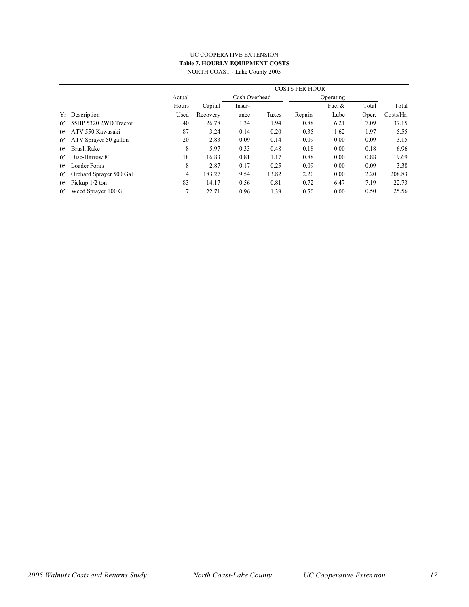#### UC COOPERATIVE EXTENSION **Table 7. HOURLY EQUIPMENT COSTS** NORTH COAST - Lake County 2005

|     |                         |        | <b>COSTS PER HOUR</b> |               |       |           |        |       |           |  |
|-----|-------------------------|--------|-----------------------|---------------|-------|-----------|--------|-------|-----------|--|
|     |                         | Actual |                       | Cash Overhead |       | Operating |        |       |           |  |
|     |                         | Hours  | Capital               | Insur-        |       |           | Fuel & | Total | Total     |  |
| Yr  | Description             | Used   | Recovery              | ance          | Taxes | Repairs   | Lube   | Oper. | Costs/Hr. |  |
| 05  | 55HP 5320 2WD Tractor   | 40     | 26.78                 | 1.34          | 1.94  | 0.88      | 6.21   | 7.09  | 37.15     |  |
| 05  | ATV 550 Kawasaki        | 87     | 3.24                  | 0.14          | 0.20  | 0.35      | 1.62   | 1.97  | 5.55      |  |
| 05  | ATV Sprayer 50 gallon   | 20     | 2.83                  | 0.09          | 0.14  | 0.09      | 0.00   | 0.09  | 3.15      |  |
| 0.5 | <b>Brush Rake</b>       | 8      | 5.97                  | 0.33          | 0.48  | 0.18      | 0.00   | 0.18  | 6.96      |  |
| 0.5 | Disc-Harrow 8'          | 18     | 16.83                 | 0.81          | 1.17  | 0.88      | 0.00   | 0.88  | 19.69     |  |
| 0.5 | Loader Forks            | 8      | 2.87                  | 0.17          | 0.25  | 0.09      | 0.00   | 0.09  | 3.38      |  |
| 05  | Orchard Sprayer 500 Gal | 4      | 183.27                | 9.54          | 13.82 | 2.20      | 0.00   | 2.20  | 208.83    |  |
| 05  | Pickup $1/2$ ton        | 83     | 14.17                 | 0.56          | 0.81  | 0.72      | 6.47   | 7.19  | 22.73     |  |
| 05  | Weed Sprayer 100 G      | 7      | 22.71                 | 0.96          | 1.39  | 0.50      | 0.00   | 0.50  | 25.56     |  |